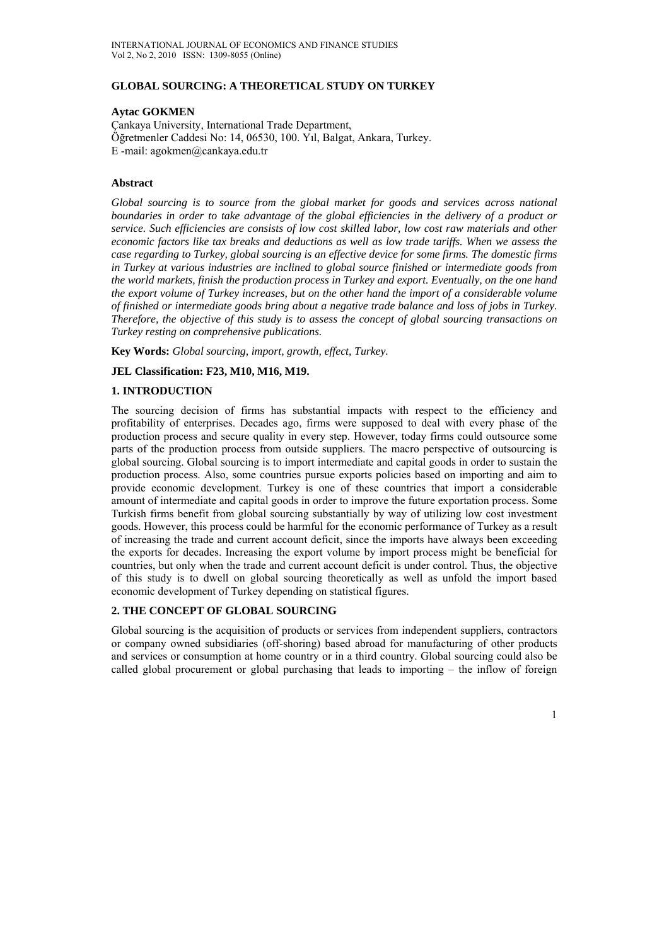## **GLOBAL SOURCING: A THEORETICAL STUDY ON TURKEY**

### **Aytac GOKMEN**

Çankaya University, International Trade Department, Öğretmenler Caddesi No: 14, 06530, 100. Yıl, Balgat, Ankara, Turkey. E -mail: agokmen@cankaya.edu.tr

#### **Abstract**

Global sourcing is to source from the global market for goods and services across national *boundaries in order to take advantage of the global efficiencies in the delivery of a product or service. Such efficiencies are consists of low cost skilled labor, low cost raw materials and other economic factors like tax breaks and deductions as well as low trade tariffs. When we assess the case regarding to Turkey, global sourcing is an effective device for some firms. The domestic firms in Turkey at various industries are inclined to global source finished or intermediate goods from the world markets, finish the production process in Turkey and export. Eventually, on the one hand the export volume of Turkey increases, but on the other hand the import of a considerable volume of finished or intermediate goods bring about a negative trade balance and loss of jobs in Turkey. Therefore, the objective of this study is to assess the concept of global sourcing transactions on Turkey resting on comprehensive publications.* 

**Key Words:** *Global sourcing, import, growth, effect, Turkey.*

### **JEL Classification: F23, M10, M16, M19.**

## **1. INTRODUCTION**

The sourcing decision of firms has substantial impacts with respect to the efficiency and profitability of enterprises. Decades ago, firms were supposed to deal with every phase of the production process and secure quality in every step. However, today firms could outsource some parts of the production process from outside suppliers. The macro perspective of outsourcing is global sourcing. Global sourcing is to import intermediate and capital goods in order to sustain the production process. Also, some countries pursue exports policies based on importing and aim to provide economic development. Turkey is one of these countries that import a considerable amount of intermediate and capital goods in order to improve the future exportation process. Some Turkish firms benefit from global sourcing substantially by way of utilizing low cost investment goods. However, this process could be harmful for the economic performance of Turkey as a result of increasing the trade and current account deficit, since the imports have always been exceeding the exports for decades. Increasing the export volume by import process might be beneficial for countries, but only when the trade and current account deficit is under control. Thus, the objective of this study is to dwell on global sourcing theoretically as well as unfold the import based economic development of Turkey depending on statistical figures.

### **2. THE CONCEPT OF GLOBAL SOURCING**

Global sourcing is the acquisition of products or services from independent suppliers, contractors or company owned subsidiaries (off-shoring) based abroad for manufacturing of other products and services or consumption at home country or in a third country. Global sourcing could also be called global procurement or global purchasing that leads to importing – the inflow of foreign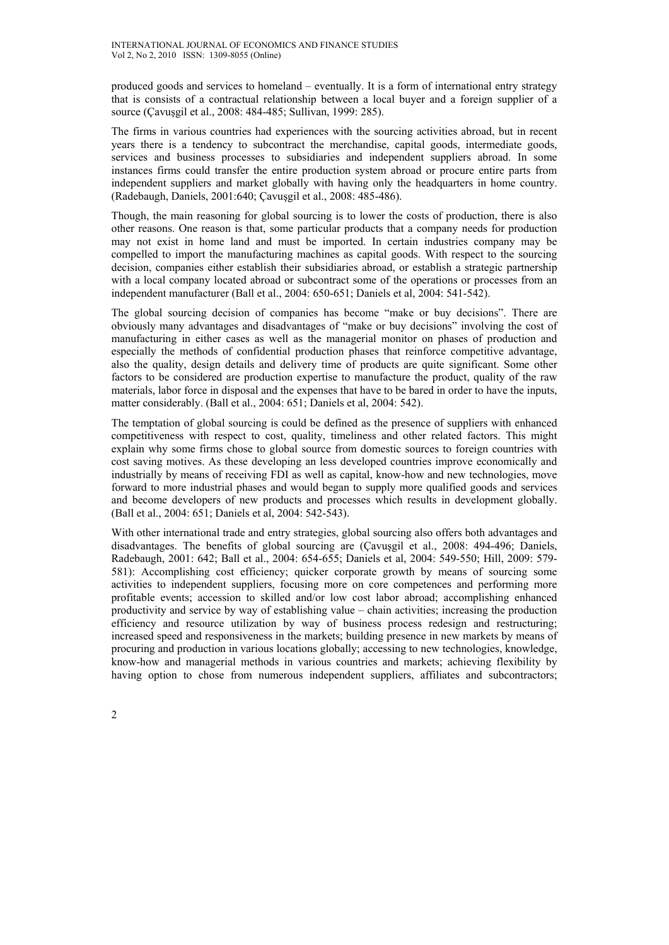produced goods and services to homeland – eventually. It is a form of international entry strategy that is consists of a contractual relationship between a local buyer and a foreign supplier of a source (Çavuşgil et al., 2008: 484-485; Sullivan, 1999: 285).

The firms in various countries had experiences with the sourcing activities abroad, but in recent years there is a tendency to subcontract the merchandise, capital goods, intermediate goods, services and business processes to subsidiaries and independent suppliers abroad. In some instances firms could transfer the entire production system abroad or procure entire parts from independent suppliers and market globally with having only the headquarters in home country. (Radebaugh, Daniels, 2001:640; Çavuşgil et al., 2008: 485-486).

Though, the main reasoning for global sourcing is to lower the costs of production, there is also other reasons. One reason is that, some particular products that a company needs for production may not exist in home land and must be imported. In certain industries company may be compelled to import the manufacturing machines as capital goods. With respect to the sourcing decision, companies either establish their subsidiaries abroad, or establish a strategic partnership with a local company located abroad or subcontract some of the operations or processes from an independent manufacturer (Ball et al., 2004: 650-651; Daniels et al, 2004: 541-542).

The global sourcing decision of companies has become "make or buy decisions". There are obviously many advantages and disadvantages of "make or buy decisions" involving the cost of manufacturing in either cases as well as the managerial monitor on phases of production and especially the methods of confidential production phases that reinforce competitive advantage, also the quality, design details and delivery time of products are quite significant. Some other factors to be considered are production expertise to manufacture the product, quality of the raw materials, labor force in disposal and the expenses that have to be bared in order to have the inputs, matter considerably. (Ball et al., 2004: 651; Daniels et al, 2004: 542).

The temptation of global sourcing is could be defined as the presence of suppliers with enhanced competitiveness with respect to cost, quality, timeliness and other related factors. This might explain why some firms chose to global source from domestic sources to foreign countries with cost saving motives. As these developing an less developed countries improve economically and industrially by means of receiving FDI as well as capital, know-how and new technologies, move forward to more industrial phases and would began to supply more qualified goods and services and become developers of new products and processes which results in development globally. (Ball et al., 2004: 651; Daniels et al, 2004: 542-543).

With other international trade and entry strategies, global sourcing also offers both advantages and disadvantages. The benefits of global sourcing are (Çavuşgil et al., 2008: 494-496; Daniels, Radebaugh, 2001: 642; Ball et al., 2004: 654-655; Daniels et al, 2004: 549-550; Hill, 2009: 579- 581): Accomplishing cost efficiency; quicker corporate growth by means of sourcing some activities to independent suppliers, focusing more on core competences and performing more profitable events; accession to skilled and/or low cost labor abroad; accomplishing enhanced productivity and service by way of establishing value – chain activities; increasing the production efficiency and resource utilization by way of business process redesign and restructuring; increased speed and responsiveness in the markets; building presence in new markets by means of procuring and production in various locations globally; accessing to new technologies, knowledge, know-how and managerial methods in various countries and markets; achieving flexibility by having option to chose from numerous independent suppliers, affiliates and subcontractors;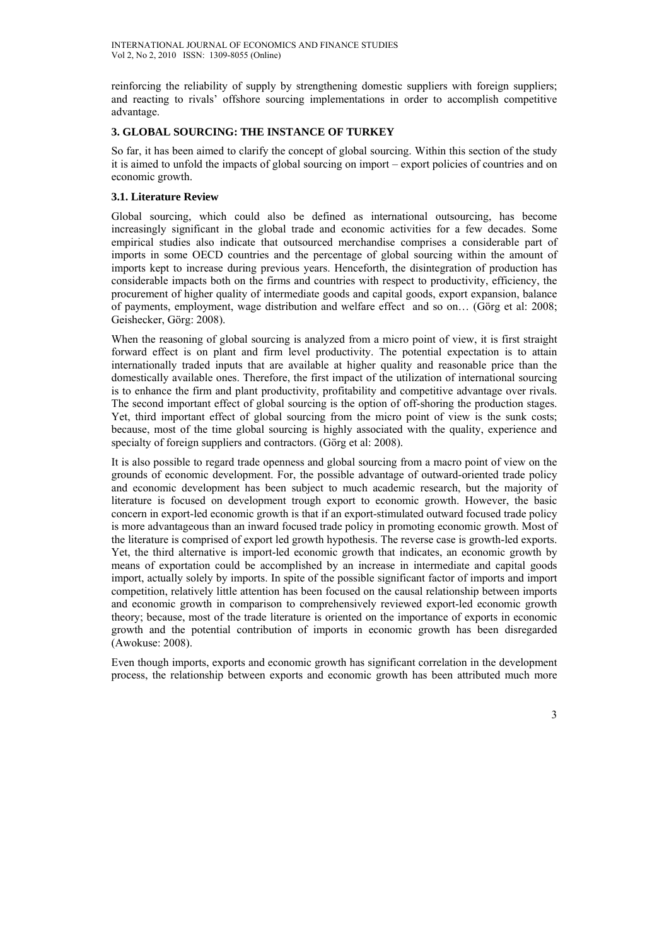reinforcing the reliability of supply by strengthening domestic suppliers with foreign suppliers; and reacting to rivals' offshore sourcing implementations in order to accomplish competitive advantage.

# **3. GLOBAL SOURCING: THE INSTANCE OF TURKEY**

So far, it has been aimed to clarify the concept of global sourcing. Within this section of the study it is aimed to unfold the impacts of global sourcing on import – export policies of countries and on economic growth.

# **3.1. Literature Review**

Global sourcing, which could also be defined as international outsourcing, has become increasingly significant in the global trade and economic activities for a few decades. Some empirical studies also indicate that outsourced merchandise comprises a considerable part of imports in some OECD countries and the percentage of global sourcing within the amount of imports kept to increase during previous years. Henceforth, the disintegration of production has considerable impacts both on the firms and countries with respect to productivity, efficiency, the procurement of higher quality of intermediate goods and capital goods, export expansion, balance of payments, employment, wage distribution and welfare effect and so on… (Görg et al: 2008; Geishecker, Görg: 2008).

When the reasoning of global sourcing is analyzed from a micro point of view, it is first straight forward effect is on plant and firm level productivity. The potential expectation is to attain internationally traded inputs that are available at higher quality and reasonable price than the domestically available ones. Therefore, the first impact of the utilization of international sourcing is to enhance the firm and plant productivity, profitability and competitive advantage over rivals. The second important effect of global sourcing is the option of off-shoring the production stages. Yet, third important effect of global sourcing from the micro point of view is the sunk costs; because, most of the time global sourcing is highly associated with the quality, experience and specialty of foreign suppliers and contractors. (Görg et al: 2008).

It is also possible to regard trade openness and global sourcing from a macro point of view on the grounds of economic development. For, the possible advantage of outward-oriented trade policy and economic development has been subject to much academic research, but the majority of literature is focused on development trough export to economic growth. However, the basic concern in export-led economic growth is that if an export-stimulated outward focused trade policy is more advantageous than an inward focused trade policy in promoting economic growth. Most of the literature is comprised of export led growth hypothesis. The reverse case is growth-led exports. Yet, the third alternative is import-led economic growth that indicates, an economic growth by means of exportation could be accomplished by an increase in intermediate and capital goods import, actually solely by imports. In spite of the possible significant factor of imports and import competition, relatively little attention has been focused on the causal relationship between imports and economic growth in comparison to comprehensively reviewed export-led economic growth theory; because, most of the trade literature is oriented on the importance of exports in economic growth and the potential contribution of imports in economic growth has been disregarded (Awokuse: 2008).

Even though imports, exports and economic growth has significant correlation in the development process, the relationship between exports and economic growth has been attributed much more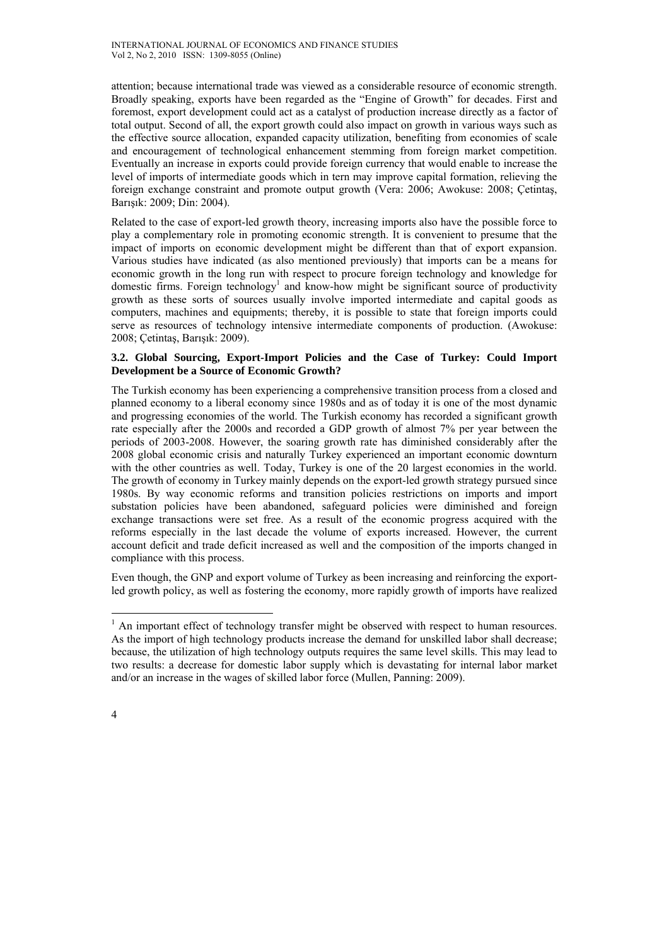attention; because international trade was viewed as a considerable resource of economic strength. Broadly speaking, exports have been regarded as the "Engine of Growth" for decades. First and foremost, export development could act as a catalyst of production increase directly as a factor of total output. Second of all, the export growth could also impact on growth in various ways such as the effective source allocation, expanded capacity utilization, benefiting from economies of scale and encouragement of technological enhancement stemming from foreign market competition. Eventually an increase in exports could provide foreign currency that would enable to increase the level of imports of intermediate goods which in tern may improve capital formation, relieving the foreign exchange constraint and promote output growth (Vera: 2006; Awokuse: 2008; Çetintaş, Barışık: 2009; Din: 2004).

Related to the case of export-led growth theory, increasing imports also have the possible force to play a complementary role in promoting economic strength. It is convenient to presume that the impact of imports on economic development might be different than that of export expansion. Various studies have indicated (as also mentioned previously) that imports can be a means for economic growth in the long run with respect to procure foreign technology and knowledge for domestic firms. Foreign technology<sup>1</sup> and know-how might be significant source of productivity growth as these sorts of sources usually involve imported intermediate and capital goods as computers, machines and equipments; thereby, it is possible to state that foreign imports could serve as resources of technology intensive intermediate components of production. (Awokuse: 2008; Çetintaş, Barışık: 2009).

## **3.2. Global Sourcing, Export-Import Policies and the Case of Turkey: Could Import Development be a Source of Economic Growth?**

The Turkish economy has been experiencing a comprehensive transition process from a closed and planned economy to a liberal economy since 1980s and as of today it is one of the most dynamic and progressing economies of the world. The Turkish economy has recorded a significant growth rate especially after the 2000s and recorded a GDP growth of almost 7% per year between the periods of 2003-2008. However, the soaring growth rate has diminished considerably after the 2008 global economic crisis and naturally Turkey experienced an important economic downturn with the other countries as well. Today, Turkey is one of the 20 largest economies in the world. The growth of economy in Turkey mainly depends on the export-led growth strategy pursued since 1980s. By way economic reforms and transition policies restrictions on imports and import substation policies have been abandoned, safeguard policies were diminished and foreign exchange transactions were set free. As a result of the economic progress acquired with the reforms especially in the last decade the volume of exports increased. However, the current account deficit and trade deficit increased as well and the composition of the imports changed in compliance with this process.

Even though, the GNP and export volume of Turkey as been increasing and reinforcing the exportled growth policy, as well as fostering the economy, more rapidly growth of imports have realized

 $\overline{a}$ 

 $<sup>1</sup>$  An important effect of technology transfer might be observed with respect to human resources.</sup> As the import of high technology products increase the demand for unskilled labor shall decrease; because, the utilization of high technology outputs requires the same level skills. This may lead to two results: a decrease for domestic labor supply which is devastating for internal labor market and/or an increase in the wages of skilled labor force (Mullen, Panning: 2009).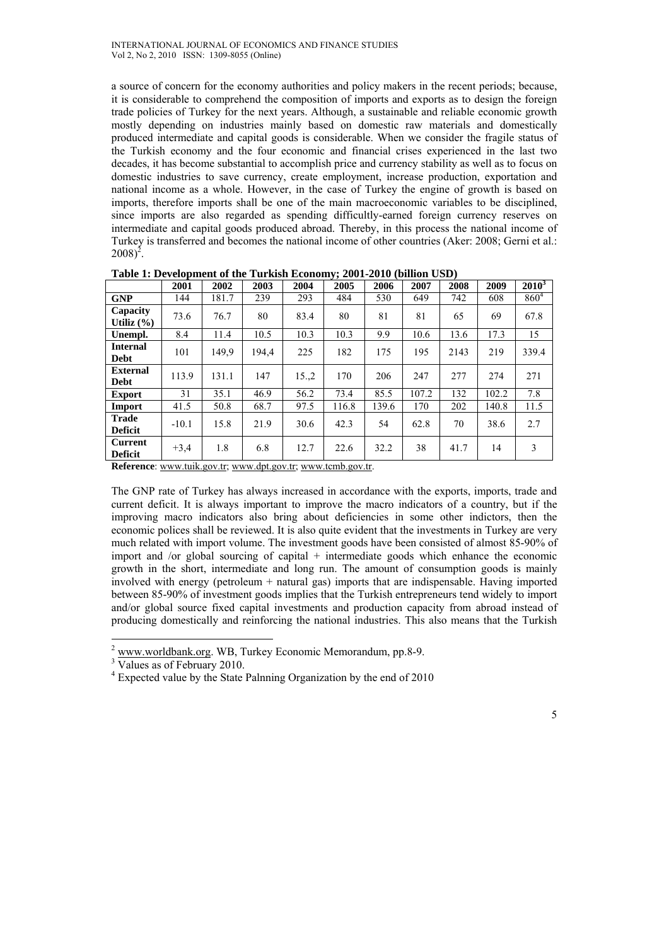a source of concern for the economy authorities and policy makers in the recent periods; because, it is considerable to comprehend the composition of imports and exports as to design the foreign trade policies of Turkey for the next years. Although, a sustainable and reliable economic growth mostly depending on industries mainly based on domestic raw materials and domestically produced intermediate and capital goods is considerable. When we consider the fragile status of the Turkish economy and the four economic and financial crises experienced in the last two decades, it has become substantial to accomplish price and currency stability as well as to focus on domestic industries to save currency, create employment, increase production, exportation and national income as a whole. However, in the case of Turkey the engine of growth is based on imports, therefore imports shall be one of the main macroeconomic variables to be disciplined, since imports are also regarded as spending difficultly-earned foreign currency reserves on intermediate and capital goods produced abroad. Thereby, in this process the national income of Turkey is transferred and becomes the national income of other countries (Aker: 2008; Gerni et al.:  $2008)^2$ .

|                                | 2001    | 2002  | 2003  | 2004 | 2005  | 2006  | 2007  | 2008 | 2009  | $2010^3$  |
|--------------------------------|---------|-------|-------|------|-------|-------|-------|------|-------|-----------|
| <b>GNP</b>                     | 144     | 181.7 | 239   | 293  | 484   | 530   | 649   | 742  | 608   | $860^{4}$ |
| Capacity<br>Utiliz $(\% )$     | 73.6    | 76.7  | 80    | 83.4 | 80    | 81    | 81    | 65   | 69    | 67.8      |
| Unempl.                        | 8.4     | 11.4  | 10.5  | 10.3 | 10.3  | 9.9   | 10.6  | 13.6 | 17.3  | 15        |
| <b>Internal</b><br><b>Debt</b> | 101     | 149.9 | 194.4 | 225  | 182   | 175   | 195   | 2143 | 219   | 339.4     |
| <b>External</b><br><b>Debt</b> | 113.9   | 131.1 | 147   | 15,2 | 170   | 206   | 247   | 277  | 274   | 271       |
| <b>Export</b>                  | 31      | 35.1  | 46.9  | 56.2 | 73.4  | 85.5  | 107.2 | 132  | 102.2 | 7.8       |
| Import                         | 41.5    | 50.8  | 68.7  | 97.5 | 116.8 | 139.6 | 170   | 202  | 140.8 | 11.5      |
| <b>Trade</b><br><b>Deficit</b> | $-10.1$ | 15.8  | 21.9  | 30.6 | 42.3  | 54    | 62.8  | 70   | 38.6  | 2.7       |
| Current<br><b>Deficit</b>      | $+3,4$  | 1.8   | 6.8   | 12.7 | 22.6  | 32.2  | 38    | 41.7 | 14    | 3         |

**Table 1: Development of the Turkish Economy; 2001-2010 (billion USD)** 

**Reference**: www.tuik.gov.tr; www.dpt.gov.tr; www.tcmb.gov.tr.

The GNP rate of Turkey has always increased in accordance with the exports, imports, trade and current deficit. It is always important to improve the macro indicators of a country, but if the improving macro indicators also bring about deficiencies in some other indictors, then the economic polices shall be reviewed. It is also quite evident that the investments in Turkey are very much related with import volume. The investment goods have been consisted of almost 85-90% of import and /or global sourcing of capital + intermediate goods which enhance the economic growth in the short, intermediate and long run. The amount of consumption goods is mainly involved with energy (petroleum + natural gas) imports that are indispensable. Having imported between 85-90% of investment goods implies that the Turkish entrepreneurs tend widely to import and/or global source fixed capital investments and production capacity from abroad instead of producing domestically and reinforcing the national industries. This also means that the Turkish

 $\overline{a}$ 

<sup>2</sup> www.worldbank.org. WB, Turkey Economic Memorandum, pp.8-9.

<sup>&</sup>lt;sup>3</sup> Values as of February 2010.

<sup>&</sup>lt;sup>4</sup> Expected value by the State Palnning Organization by the end of 2010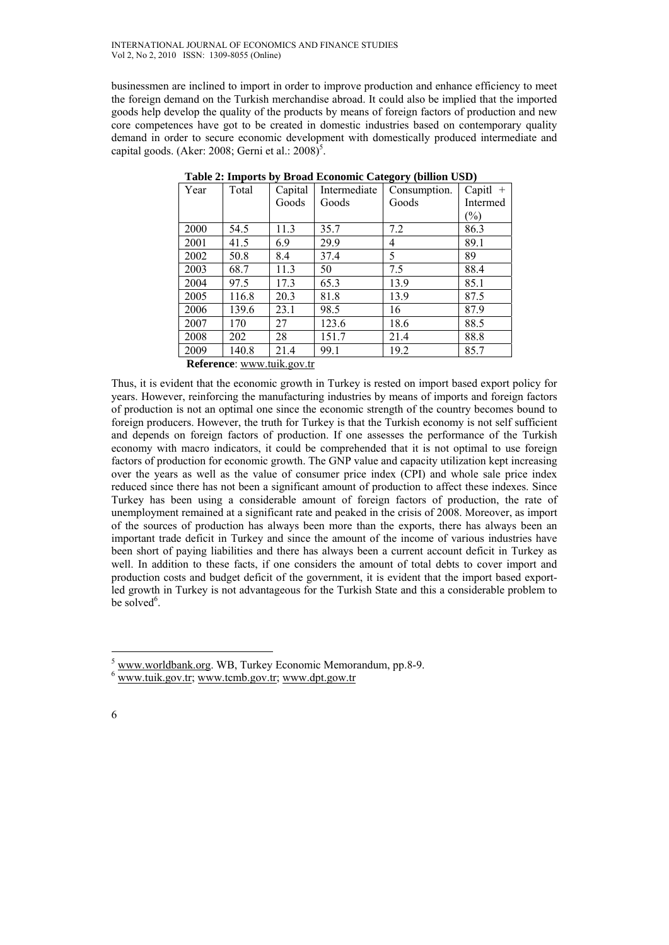businessmen are inclined to import in order to improve production and enhance efficiency to meet the foreign demand on the Turkish merchandise abroad. It could also be implied that the imported goods help develop the quality of the products by means of foreign factors of production and new core competences have got to be created in domestic industries based on contemporary quality demand in order to secure economic development with domestically produced intermediate and capital goods. (Aker: 2008; Gerni et al.:  $2008$ <sup>5</sup>.

| Year | Total | Capital | Intermediate | Consumption. | Capitl $+$    |
|------|-------|---------|--------------|--------------|---------------|
|      |       | Goods   | Goods        | Goods        | Intermed      |
|      |       |         |              |              | $\frac{1}{2}$ |
| 2000 | 54.5  | 11.3    | 35.7         | 7.2          | 86.3          |
| 2001 | 41.5  | 6.9     | 29.9         | 4            | 89.1          |
| 2002 | 50.8  | 8.4     | 37.4         | 5            | 89            |
| 2003 | 68.7  | 11.3    | 50           | 7.5          | 88.4          |
| 2004 | 97.5  | 17.3    | 65.3         | 13.9         | 85.1          |
| 2005 | 116.8 | 20.3    | 81.8         | 13.9         | 87.5          |
| 2006 | 139.6 | 23.1    | 98.5         | 16           | 87.9          |
| 2007 | 170   | 27      | 123.6        | 18.6         | 88.5          |
| 2008 | 202   | 28      | 151.7        | 21.4         | 88.8          |
| 2009 | 140.8 | 21.4    | 99.1         | 19.2         | 85.7          |

|  | Table 2: Imports by Broad Economic Category (billion USD) |
|--|-----------------------------------------------------------|
|  |                                                           |

 **Reference**: www.tuik.gov.tr

Thus, it is evident that the economic growth in Turkey is rested on import based export policy for years. However, reinforcing the manufacturing industries by means of imports and foreign factors of production is not an optimal one since the economic strength of the country becomes bound to foreign producers. However, the truth for Turkey is that the Turkish economy is not self sufficient and depends on foreign factors of production. If one assesses the performance of the Turkish economy with macro indicators, it could be comprehended that it is not optimal to use foreign factors of production for economic growth. The GNP value and capacity utilization kept increasing over the years as well as the value of consumer price index (CPI) and whole sale price index reduced since there has not been a significant amount of production to affect these indexes. Since Turkey has been using a considerable amount of foreign factors of production, the rate of unemployment remained at a significant rate and peaked in the crisis of 2008. Moreover, as import of the sources of production has always been more than the exports, there has always been an important trade deficit in Turkey and since the amount of the income of various industries have been short of paying liabilities and there has always been a current account deficit in Turkey as well. In addition to these facts, if one considers the amount of total debts to cover import and production costs and budget deficit of the government, it is evident that the import based exportled growth in Turkey is not advantageous for the Turkish State and this a considerable problem to be solved $6$ .

 $\overline{a}$ 

<sup>5</sup> www.worldbank.org. WB, Turkey Economic Memorandum, pp.8-9.

www.tuik.gov.tr; www.tcmb.gov.tr; www.dpt.gow.tr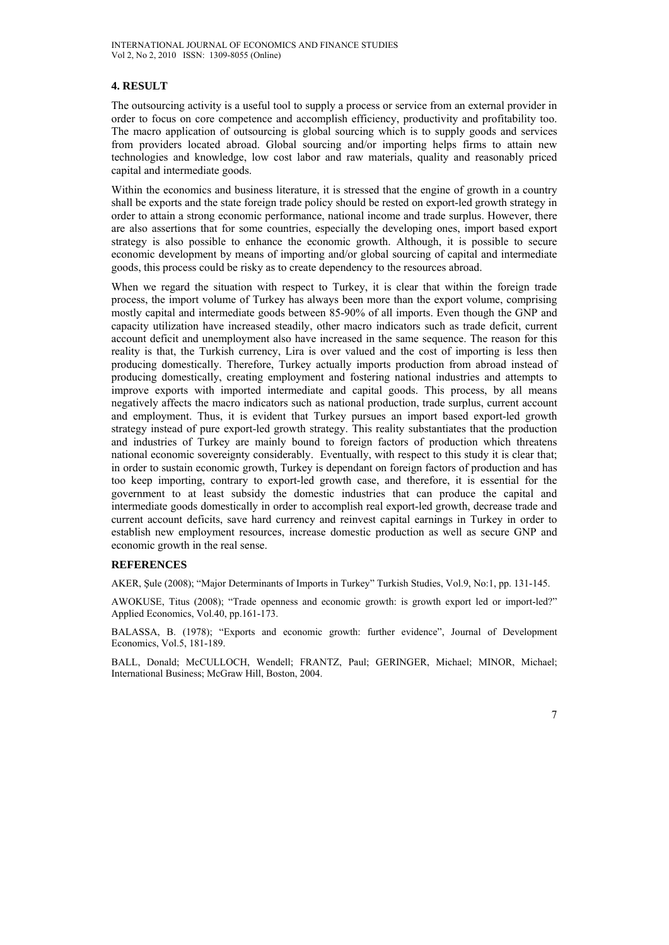## **4. RESULT**

The outsourcing activity is a useful tool to supply a process or service from an external provider in order to focus on core competence and accomplish efficiency, productivity and profitability too. The macro application of outsourcing is global sourcing which is to supply goods and services from providers located abroad. Global sourcing and/or importing helps firms to attain new technologies and knowledge, low cost labor and raw materials, quality and reasonably priced capital and intermediate goods.

Within the economics and business literature, it is stressed that the engine of growth in a country shall be exports and the state foreign trade policy should be rested on export-led growth strategy in order to attain a strong economic performance, national income and trade surplus. However, there are also assertions that for some countries, especially the developing ones, import based export strategy is also possible to enhance the economic growth. Although, it is possible to secure economic development by means of importing and/or global sourcing of capital and intermediate goods, this process could be risky as to create dependency to the resources abroad.

When we regard the situation with respect to Turkey, it is clear that within the foreign trade process, the import volume of Turkey has always been more than the export volume, comprising mostly capital and intermediate goods between 85-90% of all imports. Even though the GNP and capacity utilization have increased steadily, other macro indicators such as trade deficit, current account deficit and unemployment also have increased in the same sequence. The reason for this reality is that, the Turkish currency, Lira is over valued and the cost of importing is less then producing domestically. Therefore, Turkey actually imports production from abroad instead of producing domestically, creating employment and fostering national industries and attempts to improve exports with imported intermediate and capital goods. This process, by all means negatively affects the macro indicators such as national production, trade surplus, current account and employment. Thus, it is evident that Turkey pursues an import based export-led growth strategy instead of pure export-led growth strategy. This reality substantiates that the production and industries of Turkey are mainly bound to foreign factors of production which threatens national economic sovereignty considerably. Eventually, with respect to this study it is clear that; in order to sustain economic growth, Turkey is dependant on foreign factors of production and has too keep importing, contrary to export-led growth case, and therefore, it is essential for the government to at least subsidy the domestic industries that can produce the capital and intermediate goods domestically in order to accomplish real export-led growth, decrease trade and current account deficits, save hard currency and reinvest capital earnings in Turkey in order to establish new employment resources, increase domestic production as well as secure GNP and economic growth in the real sense.

## **REFERENCES**

AKER, Şule (2008); "Major Determinants of Imports in Turkey" Turkish Studies, Vol.9, No:1, pp. 131-145.

AWOKUSE, Titus (2008); "Trade openness and economic growth: is growth export led or import-led?" Applied Economics, Vol.40, pp.161-173.

BALASSA, B. (1978); "Exports and economic growth: further evidence", Journal of Development Economics, Vol.5, 181-189.

BALL, Donald; McCULLOCH, Wendell; FRANTZ, Paul; GERINGER, Michael; MINOR, Michael; International Business; McGraw Hill, Boston, 2004.